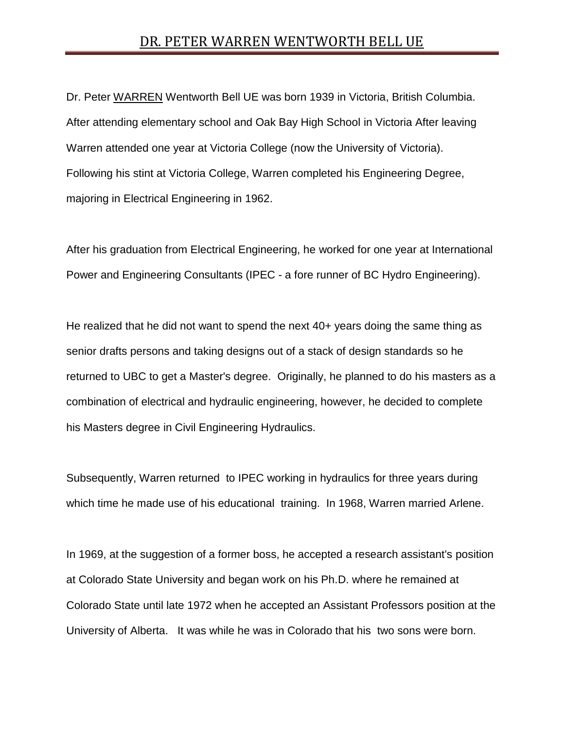## DR. PETER WARREN WENTWORTH BELL UE

Dr. Peter WARREN Wentworth Bell UE was born 1939 in Victoria, British Columbia. After attending elementary school and Oak Bay High School in Victoria After leaving Warren attended one year at Victoria College (now the University of Victoria). Following his stint at Victoria College, Warren completed his Engineering Degree, majoring in Electrical Engineering in 1962.

After his graduation from Electrical Engineering, he worked for one year at International Power and Engineering Consultants (IPEC - a fore runner of BC Hydro Engineering).

He realized that he did not want to spend the next 40+ years doing the same thing as senior drafts persons and taking designs out of a stack of design standards so he returned to UBC to get a Master's degree. Originally, he planned to do his masters as a combination of electrical and hydraulic engineering, however, he decided to complete his Masters degree in Civil Engineering Hydraulics.

Subsequently, Warren returned to IPEC working in hydraulics for three years during which time he made use of his educational training. In 1968, Warren married Arlene.

In 1969, at the suggestion of a former boss, he accepted a research assistant's position at Colorado State University and began work on his Ph.D. where he remained at Colorado State until late 1972 when he accepted an Assistant Professors position at the University of Alberta. It was while he was in Colorado that his two sons were born.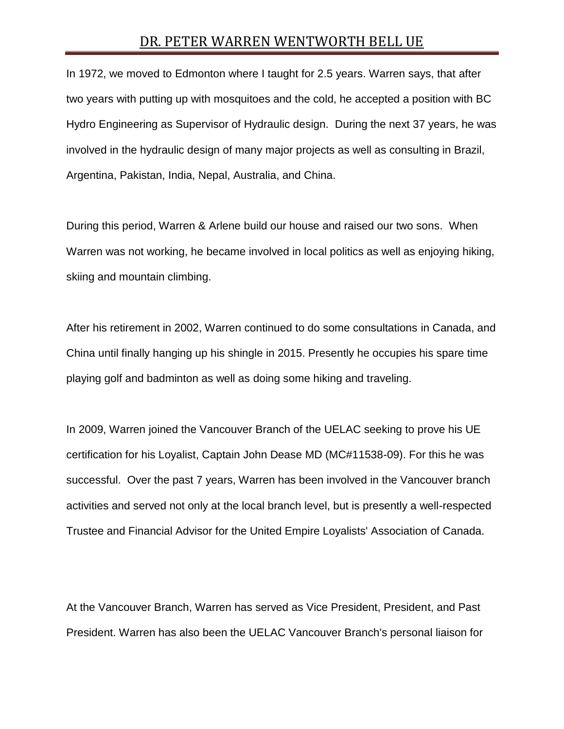## DR. PETER WARREN WENTWORTH BELL UE

In 1972, we moved to Edmonton where I taught for 2.5 years. Warren says, that after two years with putting up with mosquitoes and the cold, he accepted a position with BC Hydro Engineering as Supervisor of Hydraulic design. During the next 37 years, he was involved in the hydraulic design of many major projects as well as consulting in Brazil, Argentina, Pakistan, India, Nepal, Australia, and China.

During this period, Warren & Arlene build our house and raised our two sons. When Warren was not working, he became involved in local politics as well as enjoying hiking, skiing and mountain climbing.

After his retirement in 2002, Warren continued to do some consultations in Canada, and China until finally hanging up his shingle in 2015. Presently he occupies his spare time playing golf and badminton as well as doing some hiking and traveling.

In 2009, Warren joined the Vancouver Branch of the UELAC seeking to prove his UE certification for his Loyalist, Captain John Dease MD (MC#11538-09). For this he was successful. Over the past 7 years, Warren has been involved in the Vancouver branch activities and served not only at the local branch level, but is presently a well-respected Trustee and Financial Advisor for the United Empire Loyalists' Association of Canada.

At the Vancouver Branch, Warren has served as Vice President, President, and Past President. Warren has also been the UELAC Vancouver Branch's personal liaison for